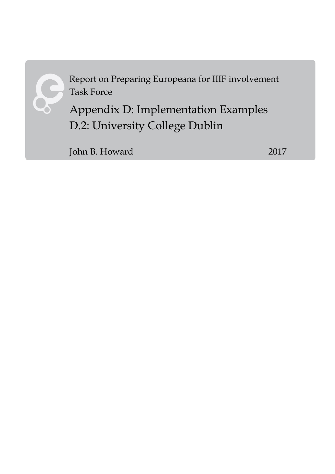

Report on Preparing Europeana for IIIF involvement Task Force

Appendix D: Implementation Examples D.2: University College Dublin

John B. Howard 2017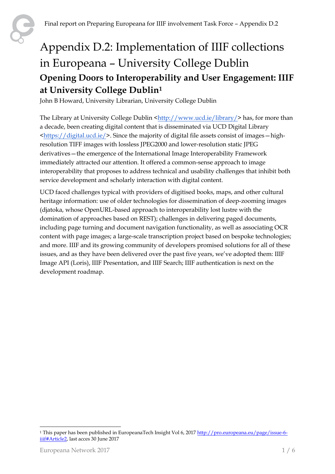## Appendix D.2: Implementation of IIIF collections in Europeana – University College Dublin **Opening Doors to Interoperability and User Engagement: IIIF at University College Dublin<sup>1</sup>**

John B Howard, University Librarian, University College Dublin

The Library at University College Dublin [<http://www.ucd.ie/library/>](http://www.ucd.ie/library/) has, for more than a decade, been creating digital content that is disseminated via UCD Digital Library  $\frac{\text{thttps}}{\text{digital.ucd.ie}}$ . Since the majority of digital file assets consist of images  $\text{-high-tim}$ resolution TIFF images with lossless JPEG2000 and lower-resolution static JPEG derivatives—the emergence of the International Image Interoperability Framework immediately attracted our attention. It offered a common-sense approach to image interoperability that proposes to address technical and usability challenges that inhibit both service development and scholarly interaction with digital content.

UCD faced challenges typical with providers of digitised books, maps, and other cultural heritage information: use of older technologies for dissemination of deep-zooming images (djatoka, whose OpenURL-based approach to interoperability lost lustre with the domination of approaches based on REST); challenges in delivering paged documents, including page turning and document navigation functionality, as well as associating OCR content with page images; a large-scale transcription project based on bespoke technologies; and more. IIIF and its growing community of developers promised solutions for all of these issues, and as they have been delivered over the past five years, we've adopted them: IIIF Image API (Loris), IIIF Presentation, and IIIF Search; IIIF authentication is next on the development roadmap.

<sup>1</sup> <sup>1</sup> This paper has been published in EuropeanaTech Insight Vol 6, 2017 [http://pro.europeana.eu/page/issue-6](http://pro.europeana.eu/page/issue-6-iiif#Article2) [iiif#Article2,](http://pro.europeana.eu/page/issue-6-iiif#Article2) last acces 30 June 2017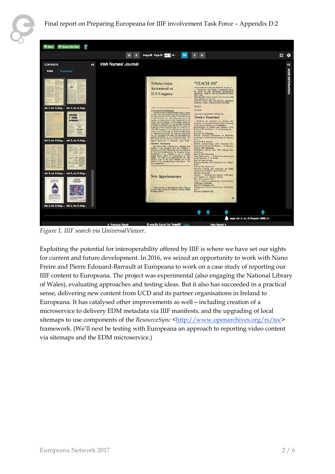

*Figure 1. IIIF search via UniversalViewer.*

Exploiting the potential for interoperability offered by IIIF is where we have set our sights for current and future development. In 2016, we seized an opportunity to work with Nuno Freire and Pierre Edouard-Barrault at Europeana to work on a case study of reporting our IIIF content to Europeana. The project was experimental (also engaging the National Library of Wales), evaluating approaches and testing ideas. But it also has succeeded in a practical sense, delivering new content from UCD and its partner organisations in Ireland to Europeana. It has catalysed other improvements as well—including creation of a microservice to delivery EDM metadata via IIIF manifests, and the upgrading of local sitemaps to use components of the *ResourceSync* [<http://www.openarchives.org/rs/toc>](http://www.openarchives.org/rs/toc) framework. (We'll next be testing with Europeana an approach to reporting video content via sitemaps and the EDM microservice.)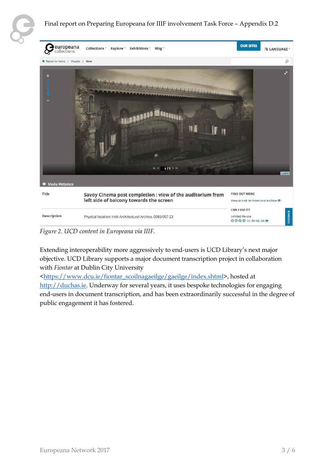

## Final report on Preparing Europeana for IIIF involvement Task Force – Appendix D.2



*Figure 2. UCD content in Europeana via IIIF.*

Extending interoperability more aggressively to end-users is UCD Library's next major objective. UCD Library supports a major document transcription project in collaboration with *Fiontar* at Dublin City University

[<https://www.dcu.ie/fiontar\\_scoilnagaeilge/gaeilge/index.shtml>](https://www.dcu.ie/fiontar_scoilnagaeilge/gaeilge/index.shtml), hosted a[t](http://duchas.ie/) [http://duchas.ie.](http://duchas.ie/) Underway for several years, it uses bespoke technologies for engaging end-users in document transcription, and has been extraordinarily successful in the degree of public engagement it has fostered.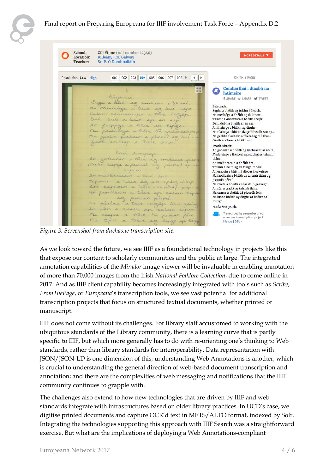

## Final report on Preparing Europeana for IIIF involvement Task Force – Appendix D.2

School: Cill Éinne (roll number 12340) MORE DETAILS V n Location: Killeany, Co. Galway Sr. P. Ó Domhnalláin Teacher: 001 002 003 004 005 006 007 008  $\boxed{4}$ ON THIS PAGE Resolution: Low | High Comharthaí i dtaobh na hAimsire Bispieri **f** SHARE 8+ SHARE W TWEET Suga a tier az rubcom : Szcac.<br>na medróza a tier az dul cape Báisteach. Sugha a bhéith ag tuitim i dteach. talam connamina a très inzin. Na mealtóga a bhéith ag dul thart. Dan Dub a trêve ap so sep Talamh Connamara a bhéith i ngár. An further a trêve as Experience Dath dubh a bhéith ar an aer. An fhairrge a bhéith ag éirghe. Na réaltóga a bhéith dá gcáitheadh san sp... Na géabha fiadhain a féiceal ag dul thar.. Gaoth andheas a bhéith ann. Droch Aimsir An gobadán a bhéith ag imtheacht ar an tr.. Droi surgeap Mada uisge a fhéiceal ag siubhal ar talamh An zobadan a tier az invecce y ano tirim. An maidneacain a bhéith árd. mada suppe a perical az pubal april Torann a béith ag an tráigh mhóir. tyrem. An eascoin a bhéith i dtobar fíor-uisge An massneacain a riere ens Na faoilleáin a bhéith ar talamh tirim ag copann a vive az an epaig mógr. piocadh péistí. Na réalta a bhéith i ngár do'n gealaigh. An rón a teacht ar talamh tirim. ne perilleurs a tier ap salam seper Na cearca a bhéith dá piocadh féin. na pérdra a bévi ingép don gede Na bric a bhéith ag éirghe ar bháirr na fairrge. Nuala Seóigeach. **CON** Transcribed by a member of our  $n_{4}$ ceapes a tier dà procati pin volunteer transcription project. The terme a teer sig Espage ap tely History | Edit »

*Figure 3. Screenshot from duchas.ie transcription site.*

As we look toward the future, we see IIIF as a foundational technology in projects like this that expose our content to scholarly communities and the public at large. The integrated annotation capabilities of the *Mirador* image viewer will be invaluable in enabling annotation of more than 70,000 images from the Irish *National Folklore Collection*, due to come online in 2017. And as IIIF client capability becomes increasingly integrated with tools such as *Scribe*, *FromThePage*, or *Europeana*'s transcription tools, we see vast potential for additional transcription projects that focus on structured textual documents, whether printed or manuscript.

IIIF does not come without its challenges. For library staff accustomed to working with the ubiquitous standards of the Library community, there is a learning curve that is partly specific to IIIF, but which more generally has to do with re-orienting one's thinking to Web standards, rather than library standards for interoperability. Data representation with JSON/JSON-LD is one dimension of this; understanding Web Annotations is another, which is crucial to understanding the general direction of web-based document transcription and annotation; and there are the complexities of web messaging and notifications that the IIIF community continues to grapple with.

The challenges also extend to how new technologies that are driven by IIIF and web standards integrate with infrastructures based on older library practices. In UCD's case, we digitise printed documents and capture OCR'd text in METS/ALTO format, indexed by Solr. Integrating the technologies supporting this approach with IIIF Search was a straightforward exercise. But what are the implications of deploying a Web Annotations-compliant